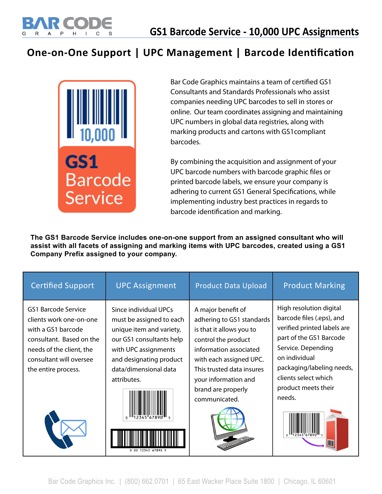

## **One-on-One Support | UPC Management | Barcode Identification**



Bar Code Graphics maintains a team of certified GS1 Consultants and Standards Professionals who assist companies needing UPC barcodes to sell in stores or online. Our team coordinates assigning and maintaining UPC numbers in global data registries, along with marking products and cartons with GS1compliant barcodes.

By combining the acquisition and assignment of your UPC barcode numbers with barcode graphic files or printed barcode labels, we ensure your company is adhering to current GS1 General Specifications, while implementing industry best practices in regards to barcode identification and marking.

**The GS1 Barcode Service includes one-on-one support from an assigned consultant who will assist with all facets of assigning and marking items with UPC barcodes, created using a GS1 Company Prefix assigned to your company.**

| <b>Certified Support</b>                                                                                                                                                              | <b>UPC Assignment</b>                                                                                                                                                                                                      | <b>Product Data Upload</b>                                                                                                                                                                                                                          | <b>Product Marking</b>                                                                                                                                                                                                                      |
|---------------------------------------------------------------------------------------------------------------------------------------------------------------------------------------|----------------------------------------------------------------------------------------------------------------------------------------------------------------------------------------------------------------------------|-----------------------------------------------------------------------------------------------------------------------------------------------------------------------------------------------------------------------------------------------------|---------------------------------------------------------------------------------------------------------------------------------------------------------------------------------------------------------------------------------------------|
| <b>GS1 Barcode Service</b><br>clients work one-on-one<br>with a GS1 barcode<br>consultant. Based on the<br>needs of the client, the<br>consultant will oversee<br>the entire process. | Since individual UPCs<br>must be assigned to each<br>unique item and variety,<br>our GS1 consultants help<br>with UPC assignments<br>and designating product<br>data/dimensional data<br>attributes.<br>0 00 12345 67890 5 | A major benefit of<br>adhering to GS1 standards<br>is that it allows you to<br>control the product<br>information associated<br>with each assigned UPC.<br>This trusted data insures<br>your information and<br>brand are properly<br>communicated. | High resolution digital<br>barcode files (.eps), and<br>verified printed labels are<br>part of the GS1 Barcode<br>Service. Depending<br>on individual<br>packaging/labeling needs,<br>clients select which<br>product meets their<br>needs. |